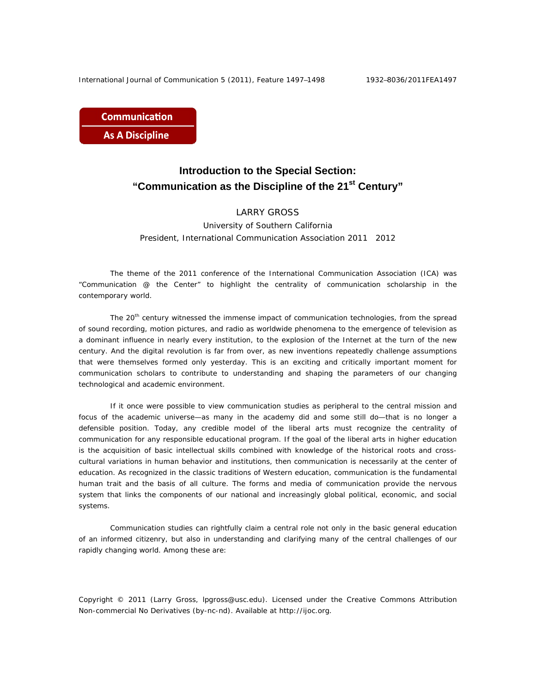**Communication As A Discipline** 

## **Introduction to the Special Section: "Communication as the Discipline of the 21st Century"**

## LARRY GROSS

University of Southern California President, International Communication Association 2011 2012

The theme of the 2011 conference of the International Communication Association (ICA) was "Communication @ the Center" to highlight the centrality of communication scholarship in the contemporary world.

The 20<sup>th</sup> century witnessed the immense impact of communication technologies, from the spread of sound recording, motion pictures, and radio as worldwide phenomena to the emergence of television as a dominant influence in nearly every institution, to the explosion of the Internet at the turn of the new century. And the digital revolution is far from over, as new inventions repeatedly challenge assumptions that were themselves formed only yesterday. This is an exciting and critically important moment for communication scholars to contribute to understanding and shaping the parameters of our changing technological and academic environment.

If it once were possible to view communication studies as peripheral to the central mission and focus of the academic universe—as many in the academy did and some still do—that is no longer a defensible position. Today, any credible model of the liberal arts must recognize the centrality of communication for any responsible educational program. If the goal of the liberal arts in higher education is the acquisition of basic intellectual skills combined with knowledge of the historical roots and crosscultural variations in human behavior and institutions, then communication is necessarily at the center of education. As recognized in the classic traditions of Western education, communication is the fundamental human trait and the basis of all culture. The forms and media of communication provide the nervous system that links the components of our national and increasingly global political, economic, and social systems.

Communication studies can rightfully claim a central role not only in the basic general education of an informed citizenry, but also in understanding and clarifying many of the central challenges of our rapidly changing world. Among these are:

Copyright © 2011 (Larry Gross, lpgross@usc.edu). Licensed under the Creative Commons Attribution Non-commercial No Derivatives (by-nc-nd). Available at http://ijoc.org.